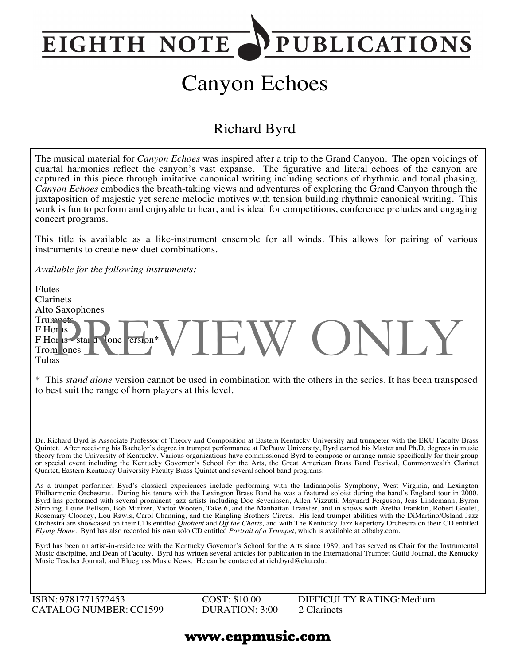## **PUBLICATIONS EIGHTH NOTE**

# Canyon Echoes

### Richard Byrd

The musical material for *Canyon Echoes* was inspired after a trip to the Grand Canyon. The open voicings of quartal harmonies reflect the canyon's vast expanse. The figurative and literal echoes of the canyon are captured in this piece through imitative canonical writing including sections of rhythmic and tonal phasing. *Canyon Echoes* embodies the breath-taking views and adventures of exploring the Grand Canyon through the juxtaposition of majestic yet serene melodic motives with tension building rhythmic canonical writing. This work is fun to perform and enjoyable to hear, and is ideal for competitions, conference preludes and engaging concert programs.

This title is available as a like-instrument ensemble for all winds. This allows for pairing of various instruments to create new duet combinations.

*Available for the following instruments:*

Flutes Clarinets Alto Saxophones **Trumpets** F Horns  $F$  Horns - star alone version\* Trom ones Tubas or is a star Pione ersion\* VIEW ONLY

\* This *stand alone* version cannot be used in combination with the others in the series. It has been transposed to best suit the range of horn players at this level.

Dr. Richard Byrd is Associate Professor of Theory and Composition at Eastern Kentucky University and trumpeter with the EKU Faculty Brass Quintet. After receiving his Bachelor's degree in trumpet performance at DePauw University, Byrd earned his Master and Ph.D. degrees in music theory from the University of Kentucky. Various organizations have commissioned Byrd to compose or arrange music specifically for their group or special event including the Kentucky Governor's School for the Arts, the Great American Brass Band Festival, Commonwealth Clarinet Quartet, Eastern Kentucky University Faculty Brass Quintet and several school band programs.

As a trumpet performer, Byrd's classical experiences include performing with the Indianapolis Symphony, West Virginia, and Lexington Philharmonic Orchestras. During his tenure with the Lexington Brass Band he was a featured soloist during the band's England tour in 2000. Byrd has performed with several prominent jazz artists including Doc Severinsen, Allen Vizzutti, Maynard Ferguson, Jens Lindemann, Byron Stripling, Louie Bellson, Bob Mintzer, Victor Wooten, Take 6, and the Manhattan Transfer, and in shows with Aretha Franklin, Robert Goulet, Rosemary Clooney, Lou Rawls, Carol Channing, and the Ringling Brothers Circus. His lead trumpet abilities with the DiMartino/Osland Jazz Orchestra are showcased on their CDs entitled *Quotient* and *Off the Charts,* and with The Kentucky Jazz Repertory Orchestra on their CD entitled *Flying Home*. Byrd has also recorded his own solo CD entitled *Portrait of a Trumpet*, which is available at cdbaby.com.

Byrd has been an artist-in-residence with the Kentucky Governor's School for the Arts since 1989, and has served as Chair for the Instrumental Music discipline, and Dean of Faculty. Byrd has written several articles for publication in the International Trumpet Guild Journal, the Kentucky Music Teacher Journal, and Bluegrass Music News. He can be contacted at rich.byrd@eku.edu.

ISBN: 9781771572453 CATALOG NUMBER:CC1599 COST: \$10.00 DURATION: 3:00 DIFFICULTY RATING:Medium 2 Clarinets

#### **www.enpmusic.com**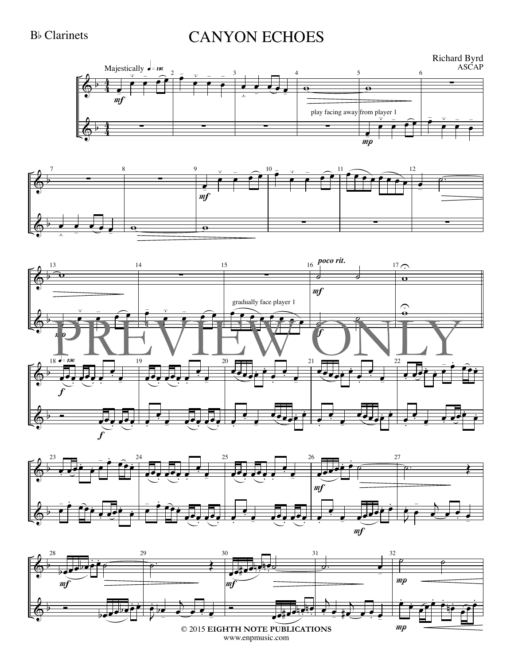#### **B**<sub>b</sub> Clarinets

## **CANYON ECHOES**









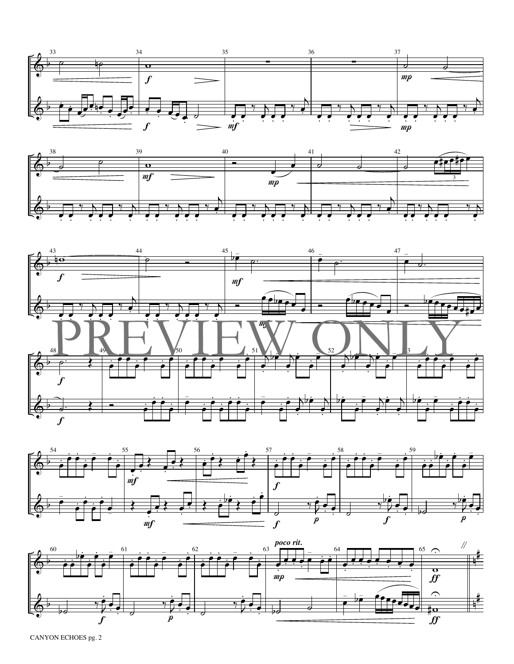









CANYON ECHOES pg. 2